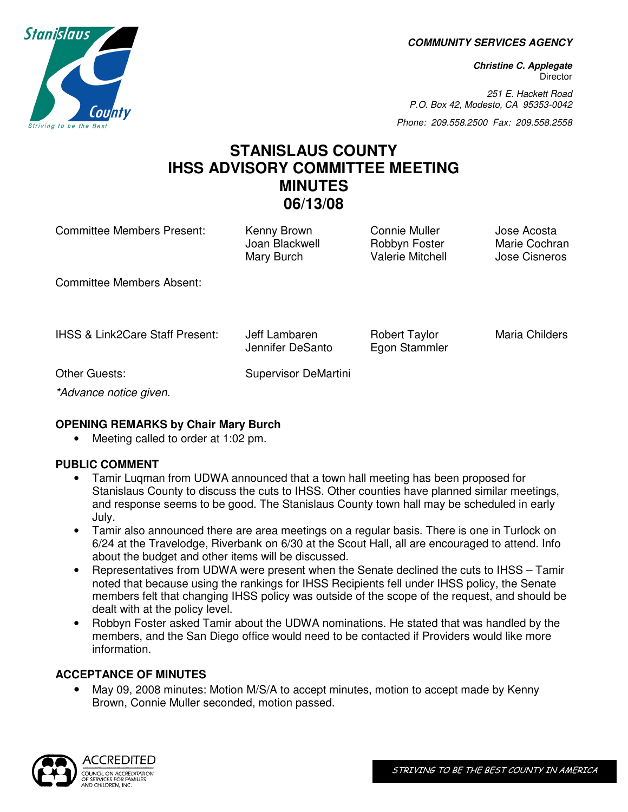**COMMUNITY SERVICES AGENCY** 

**Christine C. Applegate Director** 

251 E. Hackett Road P.O. Box 42, Modesto, CA 95353-0042

Phone: 209.558.2500 Fax: 209.558.2558

# **STANISLAUS COUNTY IHSS ADVISORY COMMITTEE MEETING MINUTES 06/13/08**

Committee Members Present: Kenny Brown Connie Muller Jose Acosta

Joan Blackwell Robbyn Foster Marie Cochran Mary Burch **Valerie Mitchell** Jose Cisneros

Committee Members Absent:

IHSS & Link2Care Staff Present: Jeff Lambaren Robert Taylor Maria Childers

Jennifer DeSanto Egon Stammler

Other Guests: Supervisor DeMartini

\*Advance notice given.

## **OPENING REMARKS by Chair Mary Burch**

Meeting called to order at 1:02 pm.

## **PUBLIC COMMENT**

- Tamir Luqman from UDWA announced that a town hall meeting has been proposed for Stanislaus County to discuss the cuts to IHSS. Other counties have planned similar meetings, and response seems to be good. The Stanislaus County town hall may be scheduled in early July.
- Tamir also announced there are area meetings on a regular basis. There is one in Turlock on 6/24 at the Travelodge, Riverbank on 6/30 at the Scout Hall, all are encouraged to attend. Info about the budget and other items will be discussed.
- Representatives from UDWA were present when the Senate declined the cuts to IHSS Tamir noted that because using the rankings for IHSS Recipients fell under IHSS policy, the Senate members felt that changing IHSS policy was outside of the scope of the request, and should be dealt with at the policy level.
- Robbyn Foster asked Tamir about the UDWA nominations. He stated that was handled by the members, and the San Diego office would need to be contacted if Providers would like more information.

## **ACCEPTANCE OF MINUTES**

• May 09, 2008 minutes: Motion M/S/A to accept minutes, motion to accept made by Kenny Brown, Connie Muller seconded, motion passed.



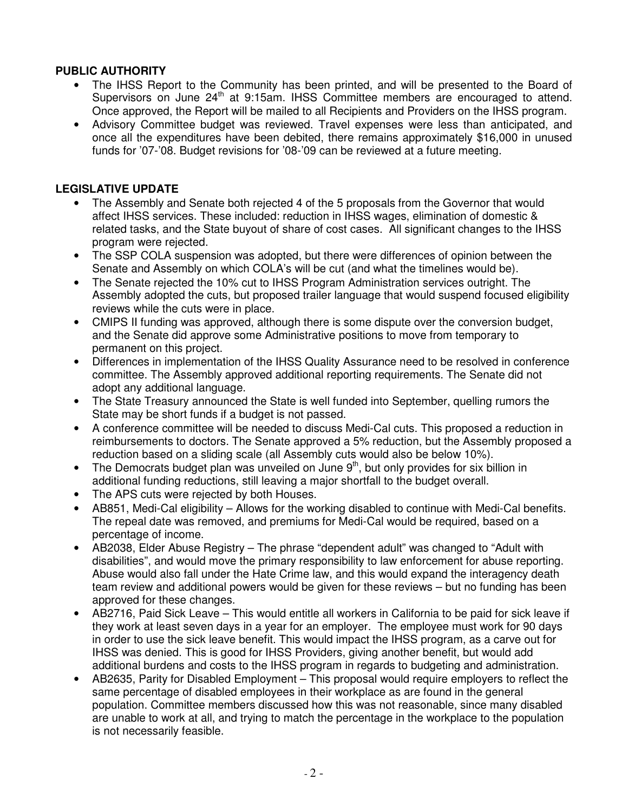## **PUBLIC AUTHORITY**

- The IHSS Report to the Community has been printed, and will be presented to the Board of Supervisors on June  $24<sup>th</sup>$  at 9:15am. IHSS Committee members are encouraged to attend. Once approved, the Report will be mailed to all Recipients and Providers on the IHSS program.
- Advisory Committee budget was reviewed. Travel expenses were less than anticipated, and once all the expenditures have been debited, there remains approximately \$16,000 in unused funds for '07-'08. Budget revisions for '08-'09 can be reviewed at a future meeting.

## **LEGISLATIVE UPDATE**

- The Assembly and Senate both rejected 4 of the 5 proposals from the Governor that would affect IHSS services. These included: reduction in IHSS wages, elimination of domestic & related tasks, and the State buyout of share of cost cases. All significant changes to the IHSS program were rejected.
- The SSP COLA suspension was adopted, but there were differences of opinion between the Senate and Assembly on which COLA's will be cut (and what the timelines would be).
- The Senate rejected the 10% cut to IHSS Program Administration services outright. The Assembly adopted the cuts, but proposed trailer language that would suspend focused eligibility reviews while the cuts were in place.
- CMIPS II funding was approved, although there is some dispute over the conversion budget, and the Senate did approve some Administrative positions to move from temporary to permanent on this project.
- Differences in implementation of the IHSS Quality Assurance need to be resolved in conference committee. The Assembly approved additional reporting requirements. The Senate did not adopt any additional language.
- The State Treasury announced the State is well funded into September, quelling rumors the State may be short funds if a budget is not passed.
- A conference committee will be needed to discuss Medi-Cal cuts. This proposed a reduction in reimbursements to doctors. The Senate approved a 5% reduction, but the Assembly proposed a reduction based on a sliding scale (all Assembly cuts would also be below 10%).
- The Democrats budget plan was unveiled on June  $9<sup>th</sup>$ , but only provides for six billion in additional funding reductions, still leaving a major shortfall to the budget overall.
- The APS cuts were rejected by both Houses.
- AB851, Medi-Cal eligibility Allows for the working disabled to continue with Medi-Cal benefits. The repeal date was removed, and premiums for Medi-Cal would be required, based on a percentage of income.
- AB2038, Elder Abuse Registry The phrase "dependent adult" was changed to "Adult with disabilities", and would move the primary responsibility to law enforcement for abuse reporting. Abuse would also fall under the Hate Crime law, and this would expand the interagency death team review and additional powers would be given for these reviews – but no funding has been approved for these changes.
- AB2716, Paid Sick Leave This would entitle all workers in California to be paid for sick leave if they work at least seven days in a year for an employer. The employee must work for 90 days in order to use the sick leave benefit. This would impact the IHSS program, as a carve out for IHSS was denied. This is good for IHSS Providers, giving another benefit, but would add additional burdens and costs to the IHSS program in regards to budgeting and administration.
- AB2635, Parity for Disabled Employment This proposal would require employers to reflect the same percentage of disabled employees in their workplace as are found in the general population. Committee members discussed how this was not reasonable, since many disabled are unable to work at all, and trying to match the percentage in the workplace to the population is not necessarily feasible.